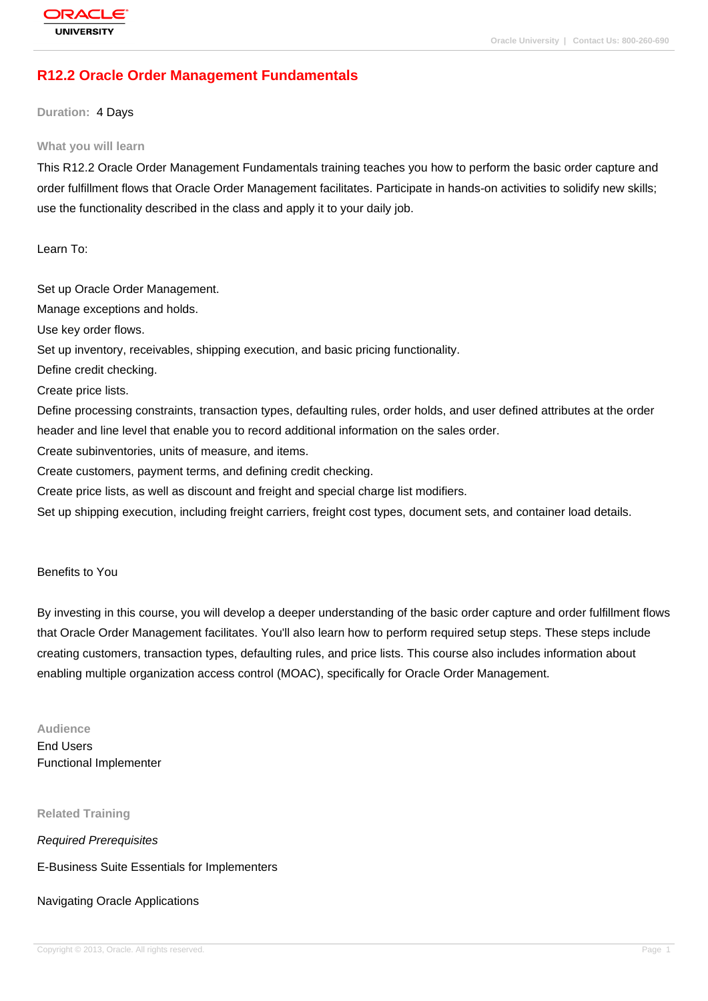## **[R12.2 Oracle O](http://education.oracle.com/pls/web_prod-plq-dad/db_pages.getpage?page_id=3)rder Management Fundamentals**

#### **Duration:** 4 Days

#### **What you will learn**

This R12.2 Oracle Order Management Fundamentals training teaches you how to perform the basic order capture and order fulfillment flows that Oracle Order Management facilitates. Participate in hands-on activities to solidify new skills; use the functionality described in the class and apply it to your daily job.

Learn To:

Set up Oracle Order Management. Manage exceptions and holds. Use key order flows. Set up inventory, receivables, shipping execution, and basic pricing functionality. Define credit checking. Create price lists. Define processing constraints, transaction types, defaulting rules, order holds, and user defined attributes at the order header and line level that enable you to record additional information on the sales order. Create subinventories, units of measure, and items. Create customers, payment terms, and defining credit checking. Create price lists, as well as discount and freight and special charge list modifiers. Set up shipping execution, including freight carriers, freight cost types, document sets, and container load details.

#### Benefits to You

By investing in this course, you will develop a deeper understanding of the basic order capture and order fulfillment flows that Oracle Order Management facilitates. You'll also learn how to perform required setup steps. These steps include creating customers, transaction types, defaulting rules, and price lists. This course also includes information about enabling multiple organization access control (MOAC), specifically for Oracle Order Management.

**Audience** End Users Functional Implementer

**Related Training**

Required Prerequisites

E-Business Suite Essentials for Implementers

Navigating Oracle Applications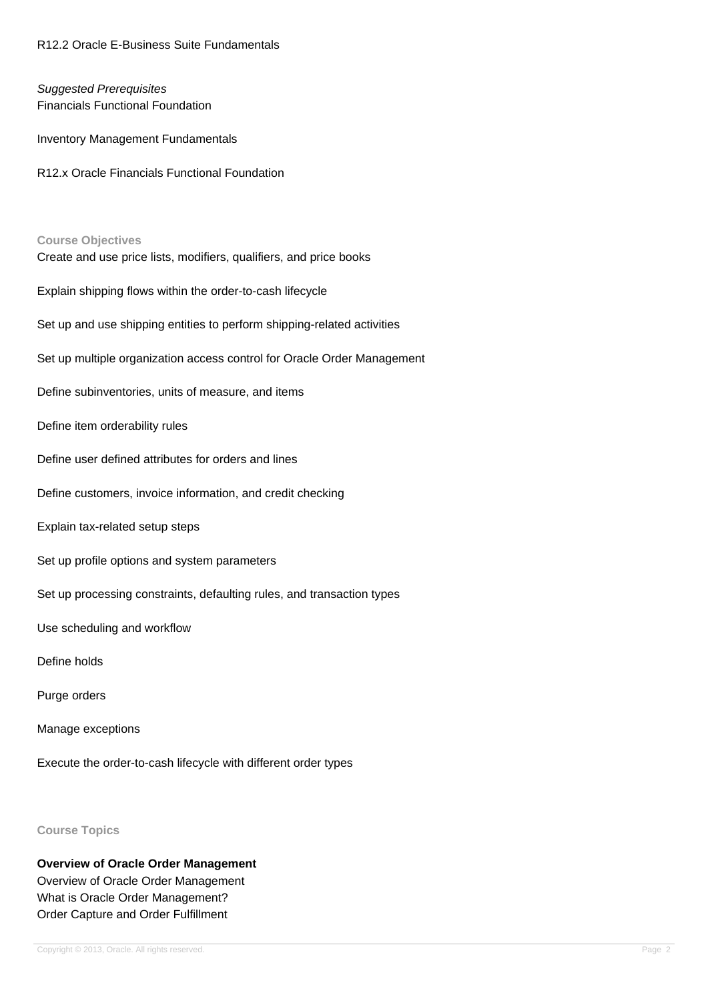R12.2 Oracle E-Business Suite Fundamentals

## Suggested Prerequisites Financials Functional Foundation

Inventory Management Fundamentals

R12.x Oracle Financials Functional Foundation

# **Course Objectives** Create and use price lists, modifiers, qualifiers, and price books Explain shipping flows within the order-to-cash lifecycle Set up and use shipping entities to perform shipping-related activities Set up multiple organization access control for Oracle Order Management Define subinventories, units of measure, and items Define item orderability rules Define user defined attributes for orders and lines Define customers, invoice information, and credit checking Explain tax-related setup steps Set up profile options and system parameters Set up processing constraints, defaulting rules, and transaction types Use scheduling and workflow Define holds Purge orders Manage exceptions Execute the order-to-cash lifecycle with different order types

# **Course Topics**

**Overview of Oracle Order Management** Overview of Oracle Order Management What is Oracle Order Management? Order Capture and Order Fulfillment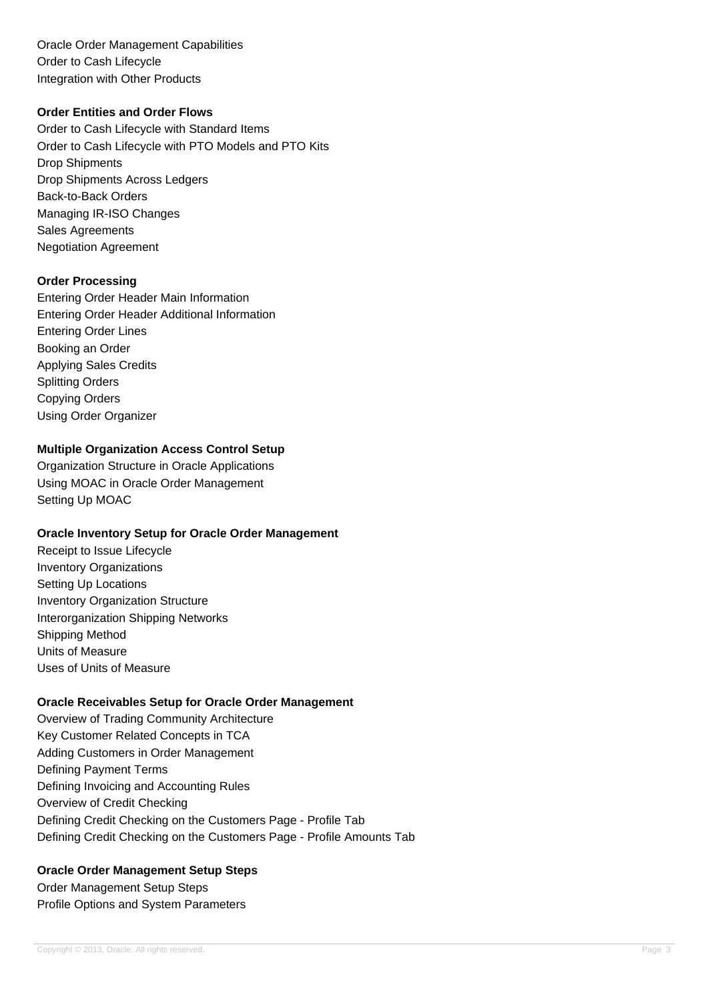Oracle Order Management Capabilities Order to Cash Lifecycle Integration with Other Products

## **Order Entities and Order Flows**

Order to Cash Lifecycle with Standard Items Order to Cash Lifecycle with PTO Models and PTO Kits Drop Shipments Drop Shipments Across Ledgers Back-to-Back Orders Managing IR-ISO Changes Sales Agreements Negotiation Agreement

### **Order Processing**

Entering Order Header Main Information Entering Order Header Additional Information Entering Order Lines Booking an Order Applying Sales Credits Splitting Orders Copying Orders Using Order Organizer

## **Multiple Organization Access Control Setup**

Organization Structure in Oracle Applications Using MOAC in Oracle Order Management Setting Up MOAC

#### **Oracle Inventory Setup for Oracle Order Management**

Receipt to Issue Lifecycle Inventory Organizations Setting Up Locations Inventory Organization Structure Interorganization Shipping Networks Shipping Method Units of Measure Uses of Units of Measure

# **Oracle Receivables Setup for Oracle Order Management**

Overview of Trading Community Architecture Key Customer Related Concepts in TCA Adding Customers in Order Management Defining Payment Terms Defining Invoicing and Accounting Rules Overview of Credit Checking Defining Credit Checking on the Customers Page - Profile Tab Defining Credit Checking on the Customers Page - Profile Amounts Tab

# **Oracle Order Management Setup Steps**

Order Management Setup Steps Profile Options and System Parameters